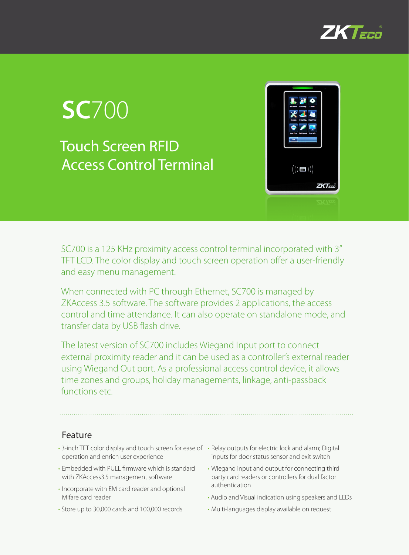

# **SC**700 Touch Screen RFID Access Control Terminal



SC700 is a 125 KHz proximity access control terminal incorporated with 3'' TFT LCD. The color display and touch screen operation offer a user-friendly and easy menu management.

When connected with PC through Ethernet, SC700 is managed by ZKAccess 3.5 software. The software provides 2 applications, the access control and time attendance. It can also operate on standalone mode, and transfer data by USB flash drive.

The latest version of SC700 includes Wiegand Input port to connect external proximity reader and it can be used as a controller's external reader using Wiegand Out port. As a professional access control device, it allows time zones and groups, holiday managements, linkage, anti-passback functions etc.

## Feature

- 3-inch TFT color display and touch screen for ease of Relay outputs for electric lock and alarm; Digital operation and enrich user experience
- • Embedded with PULL firmware which is standard with ZKAccess3.5 management software
- Incorporate with EM card reader and optional Mifare card reader
- Store up to 30,000 cards and 100,000 records
- inputs for door status sensor and exit switch
- • Wiegand input and output for connecting third party card readers or controllers for dual factor authentication
- Audio and Visual indication using speakers and LEDs
- • Multi-languages display available on request